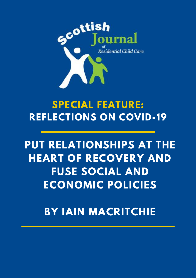

# **SPECIAL FEATURE: REFLECTIONS ON COVID-19**

# **PUT RELATIONSHIPS AT THE HEART OF RECOVERY AND FUSE SOCIAL AND ECONOMIC POLICIES**

## **BY IAIN MACRITCHIE**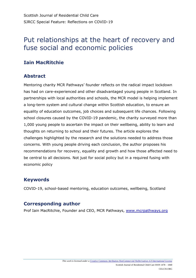## Put relationships at the heart of recovery and fuse social and economic policies

### **Iain MacRitchie**

#### **Abstract**

Mentoring charity MCR Pathways' founder reflects on the radical impact lockdown has had on care-experienced and other disadvantaged young people in Scotland. In partnerships with local authorities and schools, the MCR model is helping implement a long-term system and cultural change within Scottish education, to ensure an equality of education outcomes, job choices and subsequent life chances. Following school closures caused by the COVID-19 pandemic, the charity surveyed more than 1,000 young people to ascertain the impact on their wellbeing, ability to learn and thoughts on returning to school and their futures. The article explores the challenges highlighted by the research and the solutions needed to address those concerns. With young people driving each conclusion, the author proposes his recommendations for recovery, equality and growth and how those affected need to be central to all decisions. Not just for social policy but in a required fusing with economic policy

### **Keywords**

COVID-19, school-based mentoring, education outcomes, wellbeing, Scotland

#### **Corresponding author**

Prof Iain MacRitchie, Founder and CEO, MCR Pathways, [www.mcrpathways.org](http://www.mcrpathways.org/)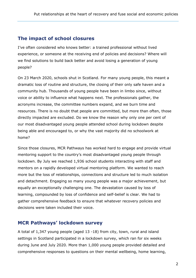#### **The impact of school closures**

I've often considered who knows better: a trained professional without lived experience, or someone at the receiving end of policies and decisions? Where will we find solutions to build back better and avoid losing a generation of young people?

On 23 March 2020, schools shut in Scotland. For many young people, this meant a dramatic loss of routine and structure, the closing of their only safe haven and a community hub. Thousands of young people have been in limbo since, without voice or ability to influence what happens next. The professionals gather, the acronyms increase, the committee numbers expand, and we burn time and resources. There is no doubt that people are committed, but more than often, those directly impacted are excluded. Do we know the reason why only one per cent of our most disadvantaged young people attended school during lockdown despite being able and encouraged to, or why the vast majority did no schoolwork at home?

Since those closures, MCR Pathways has worked hard to engage and provide virtual mentoring support to the country's most disadvantaged young people through lockdown. By July we reached 1,936 school students interacting with staff and mentors on a rapidly developed virtual mentoring platform. We wanted to reach more but the loss of relationships, connections and structure led to much isolation and detachment. Engaging so many young people was a major achievement, but equally an exceptionally challenging one. The devastation caused by loss of learning, compounded by loss of confidence and self-belief is clear. We had to gather comprehensive feedback to ensure that whatever recovery policies and decisions were taken included their voice.

### **MCR Pathways' lockdown survey**

A total of 1,347 young people (aged 13 -18) from city, town, rural and island settings in Scotland participated in a lockdown survey, which ran for six weeks during June and July 2020. More than 1,000 young people provided detailed and comprehensive responses to questions on their mental wellbeing, home learning,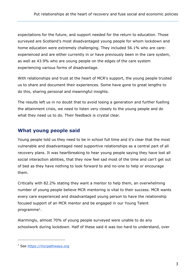expectations for the future, and support needed for the return to education. Those surveyed are Scotland's most disadvantaged young people for whom lockdown and home education were extremely challenging. They included 56.1% who are careexperienced and are either currently in or have previously been in the care system, as well as 43.9% who are young people on the edges of the care system experiencing various forms of disadvantage.

With relationships and trust at the heart of MCR's support, the young people trusted us to share and document their experiences. Some have gone to great lengths to do this, sharing personal and meaningful insights.

The results left us in no doubt that to avoid losing a generation and further fuelling the attainment crisis, we need to listen very closely to the young people and do what they need us to do. Their feedback is crystal clear.

#### **What young people said**

Young people told us they need to be in school full time and it's clear that the most vulnerable and disadvantaged need supportive relationships as a central part of all recovery plans. It was heartbreaking to hear young people saying they have lost all social interaction abilities, that they now feel sad most of the time and can't get out of bed as they have nothing to look forward to and no-one to help or encourage them.

Critically with 82.2% stating they want a mentor to help them, an overwhelming number of young people believe MCR mentoring is vital to their success. MCR wants every care experienced and disadvantaged young person to have the relationship focused support of an MCR mentor and be engaged in our Young Talent programme<sup>1</sup>.

Alarmingly, almost 70% of young people surveyed were unable to do any schoolwork during lockdown. Half of these said it was too hard to understand, over

1

<sup>&</sup>lt;sup>1</sup> See [https://mcrpathways.org](https://mcrpathways.org/)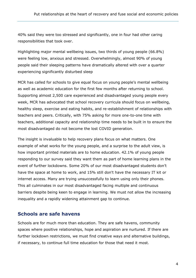40% said they were too stressed and significantly, one in four had other caring responsibilities that took over.

Highlighting major mental wellbeing issues, two thirds of young people (66.8%) were feeling low, anxious and stressed. Overwhelmingly, almost 90% of young people said their sleeping patterns have dramatically altered with over a quarter experiencing significantly disturbed sleep

MCR has called for schools to give equal focus on young people's mental wellbeing as well as academic education for the first few months after returning to school. Supporting almost 2,500 care experienced and disadvantaged young people every week, MCR has advocated that school recovery curricula should focus on wellbeing, healthy sleep, exercise and eating habits, and re-establishment of relationships with teachers and peers. Critically, with 75% asking for more one-to-one time with teachers, additional capacity and relationship time needs to be built in to ensure the most disadvantaged do not become the lost COVID generation.

The insight is invaluable to help recovery plans focus on what matters. One example of what works for the young people, and a surprise to the adult view, is how important printed materials are to home education. 42.1% of young people responding to our survey said they want them as part of home learning plans in the event of further lockdowns. Some 20% of our most disadvantaged students don't have the space at home to work, and 15% still don't have the necessary IT kit or internet access. Many are trying unsuccessfully to learn using only their phones. This all culminates in our most disadvantaged facing multiple and continuous barriers despite being keen to engage in learning. We must not allow the increasing inequality and a rapidly widening attainment gap to continue.

#### **Schools are safe havens**

Schools are for much more than education. They are safe havens, community spaces where positive relationships, hope and aspiration are nurtured. If there are further lockdown restrictions, we must find creative ways and alternative buildings, if necessary, to continue full time education for those that need it most.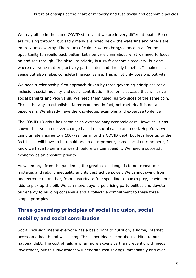We may all be in the same COVID storm, but we are in very different boats. Some are cruising through, but sadly many are holed below the waterline and others are entirely unseaworthy. The return of calmer waters brings a once in a lifetime opportunity to rebuild back better. Let's be very clear about what we need to focus on and see through. The absolute priority is a swift economic recovery, but one where everyone matters, actively participates and directly benefits. It makes social sense but also makes complete financial sense. This is not only possible, but vital.

We need a relationship-first approach driven by three governing principles: social inclusion, social mobility and social contribution. Economic success that will drive social benefits and vice versa. We need them fused, as two sides of the same coin. This is the way to establish a fairer economy, in fact, not rhetoric. It is not a pipedream. We already have the knowledge, examples and expertise to deliver.

The COVID-19 crisis has come at an extraordinary economic cost. However, it has shown that we can deliver change based on social cause and need. Hopefully, we can ultimately agree to a 100-year term for the COVID debt, but let's face up to the fact that it will have to be repaid. As an entrepreneur, come social entrepreneur, I know we have to generate wealth before we can spend it. We need a successful economy as an absolute priority.

As we emerge from the pandemic, the greatest challenge is to not repeat our mistakes and rebuild inequality and its destructive power. We cannot swing from one extreme to another, from austerity to free spending to bankruptcy, leaving our kids to pick up the bill. We can move beyond polarising party politics and devote our energy to building consensus and a collective commitment to these three simple principles.

### **Three governing principles of social inclusion, social mobility and social contribution**

Social inclusion means everyone has a basic right to nutrition, a home, internet access and health and well-being. This is not idealistic or about adding to our national debt. The cost of failure is far more expensive than prevention. It needs investment, but this investment will generate cost savings immediately and over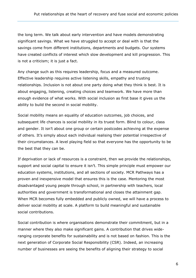the long term. We talk about early intervention and have models demonstrating significant savings. What we have struggled to accept or deal with is that the savings come from different institutions, departments and budgets. Our systems have created conflicts of interest which slow development and kill progression. This is not a criticism; it is just a fact.

Any change such as this requires leadership, focus and a measured outcome. Effective leadership requires active listening skills, empathy and trusting relationships. Inclusion is not about one party doing what they think is best. It is about engaging, listening, creating choices and teamwork. We have more than enough evidence of what works. With social inclusion as first base it gives us the ability to build the second in social mobility.

Social mobility means an equality of education outcomes, job choices, and subsequent life chances is social mobility in its truest form. Blind to colour, class and gender. It isn't about one group or certain postcodes achieving at the expense of others. It's simply about each individual realising their potential irrespective of their circumstances. A level playing field so that everyone has the opportunity to be the best that they can be.

If deprivation or lack of resources is a constraint, then we provide the relationships, support and social capital to ensure it isn't. This simple principle must empower our education systems, institutions, and all sections of society. MCR Pathways has a proven and inexpensive model that ensures this is the case. Mentoring the most disadvantaged young people through school, in partnership with teachers, local authorities and government is transformational and closes the attainment gap. When MCR becomes fully embedded and publicly owned, we will have a process to deliver social mobility at scale. A platform to build meaningful and sustainable social contributions.

Social contribution is where organisations demonstrate their commitment, but in a manner where they also make significant gains. A contribution that drives wideranging corporate benefits for sustainability and is not based on fashion. This is the next generation of Corporate Social Responsibility (CSR). Indeed, an increasing number of businesses are seeing the benefits of aligning their strategy to social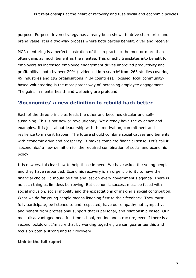purpose. Purpose driven strategy has already been shown to drive share price and brand value. It is a two-way process where both parties benefit, giver and receiver.

MCR mentoring is a perfect illustration of this in practice: the mentor more than often gains as much benefit as the mentee. This directly translates into benefit for employers as increased employee engagement drives improved productivity and profitability - both by over 20% (evidenced in research<sup>2</sup> from 263 studies covering 49 industries and 192 organisations in 34 countries). Focused, local communitybased volunteering is the most potent way of increasing employee engagement. The gains in mental health and wellbeing are profound.

#### **'Soconomics' a new definition to rebuild back better**

Each of the three principles feeds the other and becomes circular and selfsustaining. This is not new or revolutionary. We already have the evidence and examples. It is just about leadership with the motivation, commitment and resilience to make it happen. The future should combine social causes and benefits with economic drive and prosperity. It makes complete financial sense. Let's call it 'soconomics' a new definition for the required combination of social and economic policy.

It is now crystal clear how to help those in need. We have asked the young people and they have responded. Economic recovery is an urgent priority to have the financial choice. It should be first and last on every government's agenda. There is no such thing as limitless borrowing. But economic success must be fused with social inclusion, social mobility and the expectations of making a social contribution. What we do for young people means listening first to their feedback. They must fully participate, be listened to and respected, have our empathy not sympathy, and benefit from professional support that is personal, and relationship based. Our most disadvantaged need full-time school, routine and structure, even if there is a second lockdown. I'm sure that by working together, we can guarantee this and focus on both a strong and fair recovery.

#### **Link to the full report**